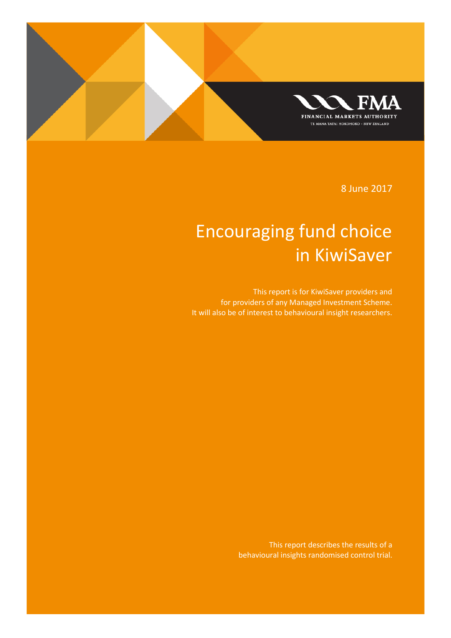

8 June 2017

# Encouraging fund choice in KiwiSaver

This report is for KiwiSaver providers and for providers of any Managed Investment Scheme. It will also be of interest to behavioural insight researchers.

> This report describes the results of a behavioural insights randomised control trial.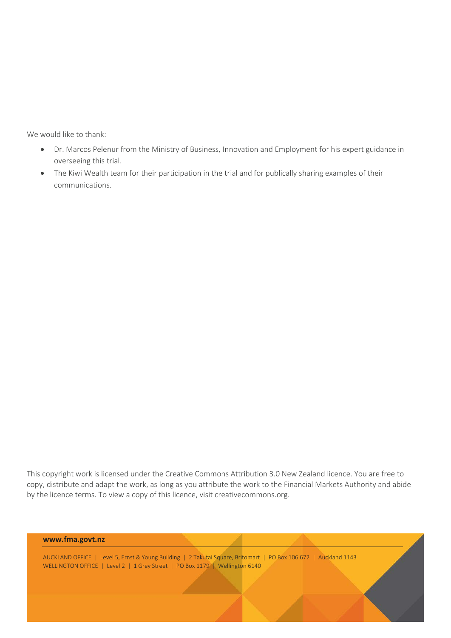We would like to thank:

- Dr. Marcos Pelenur from the Ministry of Business, Innovation and Employment for his expert guidance in overseeing this trial.
- The Kiwi Wealth team for their participation in the trial and for publically sharing examples of their communications.

This copyright work is licensed under the Creative Commons Attribution 3.0 New Zealand licence. You are free to copy, distribute and adapt the work, as long as you attribute the work to the Financial Markets Authority and abide by the licence terms. To view a copy of this licence, visit creativecommons.org.

#### **www.fma.govt.nz**

AUCKLAND OFFICE | Level 5, Ernst & Young Building | 2 Takutai Square, Britomart | PO Box 106 672 | Auckland 1143 WELLINGTON OFFICE | Level 2 | 1 Grey Street | PO Box 1179 | Wellington 6140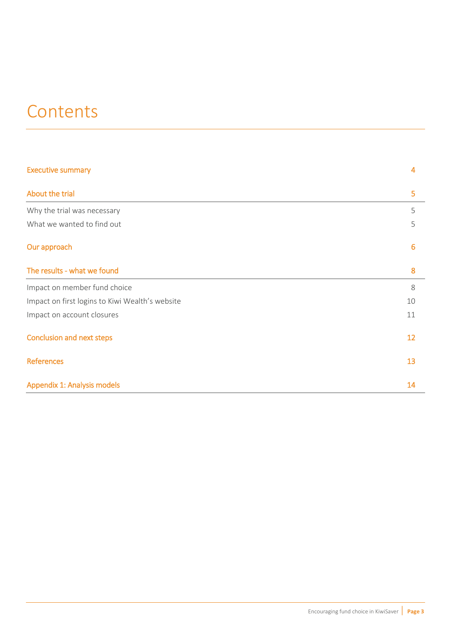# **Contents**

| <b>Executive summary</b>                        | 4  |
|-------------------------------------------------|----|
| About the trial                                 | 5  |
| Why the trial was necessary                     | 5  |
| What we wanted to find out                      | 5  |
| Our approach                                    | 6  |
| The results - what we found                     | 8  |
| Impact on member fund choice                    | 8  |
| Impact on first logins to Kiwi Wealth's website | 10 |
| Impact on account closures                      | 11 |
| <b>Conclusion and next steps</b>                | 12 |
| <b>References</b>                               | 13 |
| Appendix 1: Analysis models                     | 14 |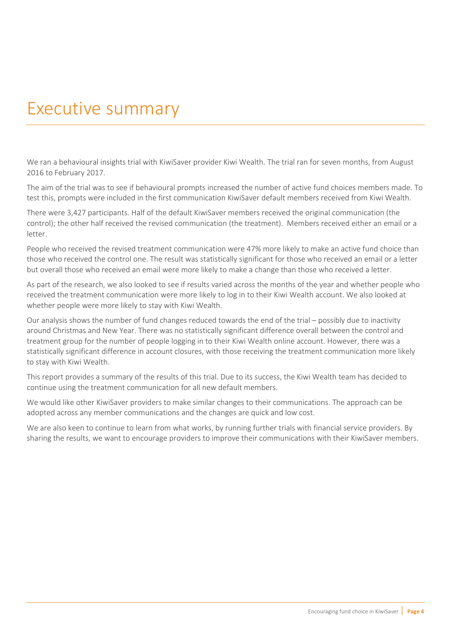## <span id="page-3-0"></span>Executive summary

We ran a behavioural insights trial with KiwiSaver provider Kiwi Wealth. The trial ran for seven months, from August 2016 to February 2017.

The aim of the trial was to see if behavioural prompts increased the number of active fund choices members made. To test this, prompts were included in the first communication KiwiSaver default members received from Kiwi Wealth.

There were 3,427 participants. Half of the default KiwiSaver members received the original communication (the control); the other half received the revised communication (the treatment). Members received either an email or a letter.

People who received the revised treatment communication were 47% more likely to make an active fund choice than those who received the control one. The result was statistically significant for those who received an email or a letter but overall those who received an email were more likely to make a change than those who received a letter.

As part of the research, we also looked to see if results varied across the months of the year and whether people who received the treatment communication were more likely to log in to their Kiwi Wealth account. We also looked at whether people were more likely to stay with Kiwi Wealth.

Our analysis shows the number of fund changes reduced towards the end of the trial – possibly due to inactivity around Christmas and New Year. There was no statistically significant difference overall between the control and treatment group for the number of people logging in to their Kiwi Wealth online account. However, there was a statistically significant difference in account closures, with those receiving the treatment communication more likely to stay with Kiwi Wealth.

This report provides a summary of the results of this trial. Due to its success, the Kiwi Wealth team has decided to continue using the treatment communication for all new default members.

We would like other KiwiSaver providers to make similar changes to their communications. The approach can be adopted across any member communications and the changes are quick and low cost.

We are also keen to continue to learn from what works, by running further trials with financial service providers. By sharing the results, we want to encourage providers to improve their communications with their KiwiSaver members.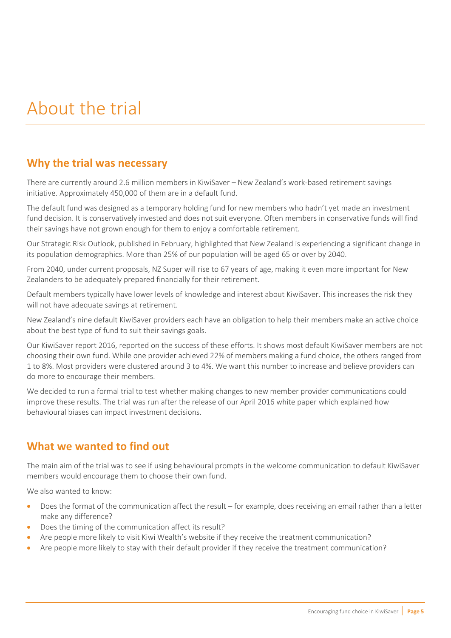# <span id="page-4-0"></span>About the trial

## <span id="page-4-1"></span>**Why the trial was necessary**

There are currently around 2.6 million members in KiwiSaver – New Zealand's work-based retirement savings initiative. Approximately 450,000 of them are in a default fund.

The default fund was designed as a temporary holding fund for new members who hadn't yet made an investment fund decision. It is conservatively invested and does not suit everyone. Often members in conservative funds will find their savings have not grown enough for them to enjoy a comfortable retirement.

Ou[r Strategic Risk Outlook,](http://issuu.com/financialmarketsauthority/docs/171002_fma_strategic_risk_outlook_2?e=18731852/44382810) published in February, highlighted that New Zealand is experiencing a significant change in its population demographics. More than 25% of our population will be aged 65 or over by 2040.

From 2040, under current proposals, NZ Super will rise to 67 years of age, making it even more important for New Zealanders to be adequately prepared financially for their retirement.

Default members typically have lower levels of knowledge and interest about KiwiSaver. This increases the risk they will not have adequate savings at retirement.

New Zealand's nine default KiwiSaver providers each have an obligation to help their members make an active choice about the best type of fund to suit their savings goals.

Ou[r KiwiSaver report 2016,](http://issuu.com/financialmarketsauthority/docs/161004_fma_kiwisaver_report_2016_fi?e=18731852/39490459) reported on the success of these efforts. It shows most default KiwiSaver members are not choosing their own fund. While one provider achieved 22% of members making a fund choice, the others ranged from 1 to 8%. Most providers were clustered around 3 to 4%. We want this number to increase and believe providers can do more to encourage their members.

We decided to run a formal trial to test whether making changes to new member provider communications could improve these results. The trial was run after the release of our [April 2016 white paper](https://fma.govt.nz/news/reports-and-papers/white-papers/using-behavioural-insights-to-improve-financial-capability/) which explained how behavioural biases can impact investment decisions.

## <span id="page-4-2"></span>**What we wanted to find out**

The main aim of the trial was to see if using behavioural prompts in the welcome communication to default KiwiSaver members would encourage them to choose their own fund.

We also wanted to know:

- Does the format of the communication affect the result for example, does receiving an email rather than a letter make any difference?
- Does the timing of the communication affect its result?
- Are people more likely to visit Kiwi Wealth's website if they receive the treatment communication?
- Are people more likely to stay with their default provider if they receive the treatment communication?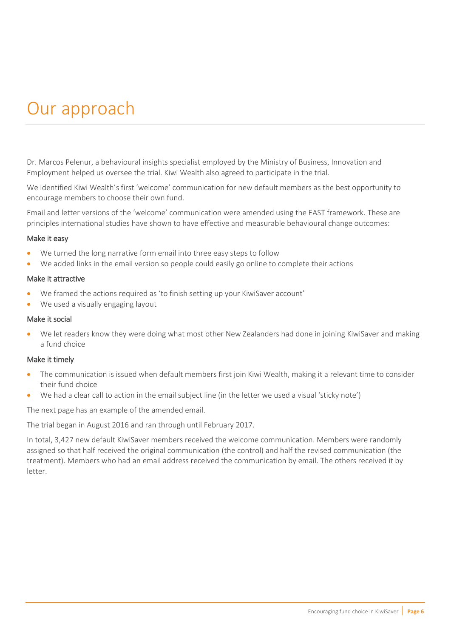# <span id="page-5-0"></span>Our approach

Dr. Marcos Pelenur, a behavioural insights specialist employed by the Ministry of Business, Innovation and Employment helped us oversee the trial. Kiwi Wealth also agreed to participate in the trial.

We identified Kiwi Wealth's first 'welcome' communication for new default members as the best opportunity to encourage members to choose their own fund.

Email and letter versions of the 'welcome' communication were amended using the EAST framework. These are principles international studies have shown to have effective and measurable behavioural change outcomes:

#### Make it easy

- We turned the long narrative form email into three easy steps to follow
- We added links in the email version so people could easily go online to complete their actions

#### Make it attractive

- We framed the actions required as 'to finish setting up your KiwiSaver account'
- We used a visually engaging layout

#### Make it social

• We let readers know they were doing what most other New Zealanders had done in joining KiwiSaver and making a fund choice

#### Make it timely

- The communication is issued when default members first join Kiwi Wealth, making it a relevant time to consider their fund choice
- We had a clear call to action in the email subject line (in the letter we used a visual 'sticky note')

The next page has an example of the amended email.

The trial began in August 2016 and ran through until February 2017.

In total, 3,427 new default KiwiSaver members received the welcome communication. Members were randomly assigned so that half received the original communication (the control) and half the revised communication (the treatment). Members who had an email address received the communication by email. The others received it by letter.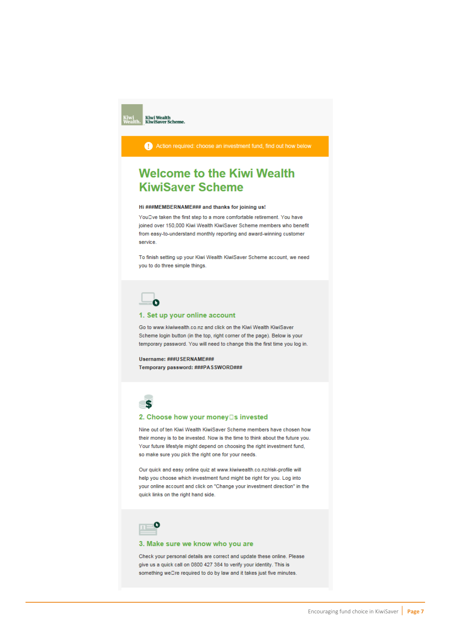Action required: choose an investment fund, find out how below

## **Welcome to the Kiwi Wealth KiwiSaver Scheme**

#### Hi ###MEMBERNAME### and thanks for joining us!

YouDve taken the first step to a more comfortable retirement. You have joined over 150,000 Kiwi Wealth KiwiSaver Scheme members who benefit from easy-to-understand monthly reporting and award-winning customer service.

To finish setting up your Kiwi Wealth KiwiSaver Scheme account, we need you to do three simple things.



#### 1. Set up your online account

Go to www.kiwiwealth.co.nz and click on the Kiwi Wealth KiwiSaver Scheme login button (in the top, right corner of the page). Below is your temporary password. You will need to change this the first time you log in.

Username: ###USERNAME### Temporary password: ###PASSWORD###



#### 2. Choose how your money□s invested

Nine out of ten Kiwi Wealth KiwiSaver Scheme members have chosen how their money is to be invested. Now is the time to think about the future you. Your future lifestyle might depend on choosing the right investment fund, so make sure you pick the right one for your needs.

Our quick and easy online quiz at www.kiwiwealth.co.nz/risk-profile will help you choose which investment fund might be right for you. Log into your online account and click on "Change your investment direction" in the quick links on the right hand side.



#### 3. Make sure we know who you are

Check your personal details are correct and update these online. Please give us a quick call on 0800 427 384 to verify your identity. This is something wellre required to do by law and it takes just five minutes.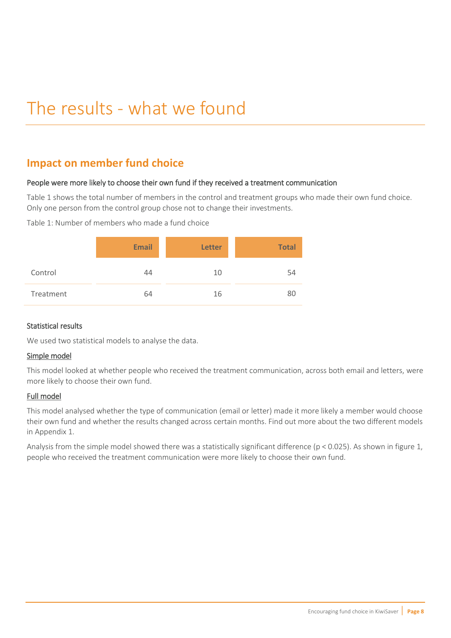# <span id="page-7-0"></span>The results - what we found

## <span id="page-7-1"></span>**Impact on member fund choice**

### People were more likely to choose their own fund if they received a treatment communication

Table 1 shows the total number of members in the control and treatment groups who made their own fund choice. Only one person from the control group chose not to change their investments.

Table 1: Number of members who made a fund choice

|           | <b>Email</b> | <b>Letter</b> | <b>Total</b> |
|-----------|--------------|---------------|--------------|
| Control   | 44           | 10            | 54           |
| Treatment | 64           | 16            | 80           |

### Statistical results

We used two statistical models to analyse the data.

### Simple model

This model looked at whether people who received the treatment communication, across both email and letters, were more likely to choose their own fund.

### Full model

This model analysed whether the type of communication (email or letter) made it more likely a member would choose their own fund and whether the results changed across certain months. Find out more about the two different models in Appendix 1.

Analysis from the simple model showed there was a statistically significant difference (p < 0.025). As shown in figure 1, people who received the treatment communication were more likely to choose their own fund.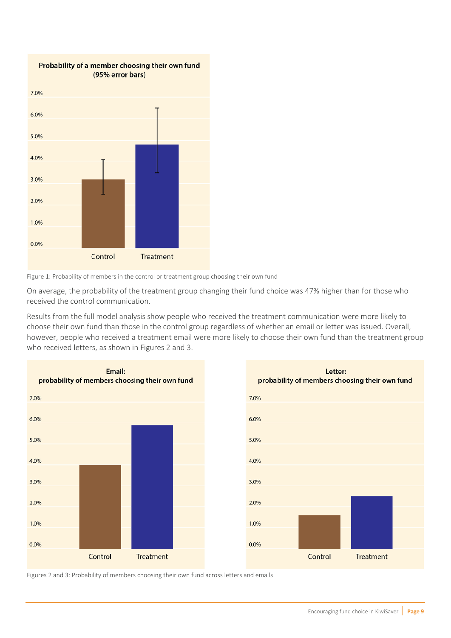



On average, the probability of the treatment group changing their fund choice was 47% higher than for those who received the control communication.

Results from the full model analysis show people who received the treatment communication were more likely to choose their own fund than those in the control group regardless of whether an email or letter was issued. Overall, however, people who received a treatment email were more likely to choose their own fund than the treatment group who received letters, as shown in Figures 2 and 3.





Figures 2 and 3: Probability of members choosing their own fund across letters and emails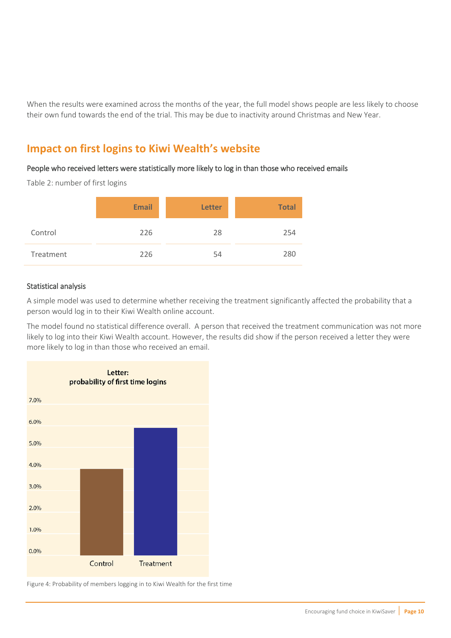When the results were examined across the months of the year, the full model shows people are less likely to choose their own fund towards the end of the trial. This may be due to inactivity around Christmas and New Year.

## <span id="page-9-0"></span>**Impact on first logins to Kiwi Wealth's website**

### People who received letters were statistically more likely to log in than those who received emails

Table 2: number of first logins

|           | <b>Email</b> | <b>Letter</b> | <b>Total</b> |
|-----------|--------------|---------------|--------------|
| Control   | 226          | 28            | 254          |
| Treatment | 226          | 54            | 280          |

### Statistical analysis

A simple model was used to determine whether receiving the treatment significantly affected the probability that a person would log in to their Kiwi Wealth online account.

The model found no statistical difference overall. A person that received the treatment communication was not more likely to log into their Kiwi Wealth account. However, the results did show if the person received a letter they were more likely to log in than those who received an email.



Figure 4: Probability of members logging in to Kiwi Wealth for the first time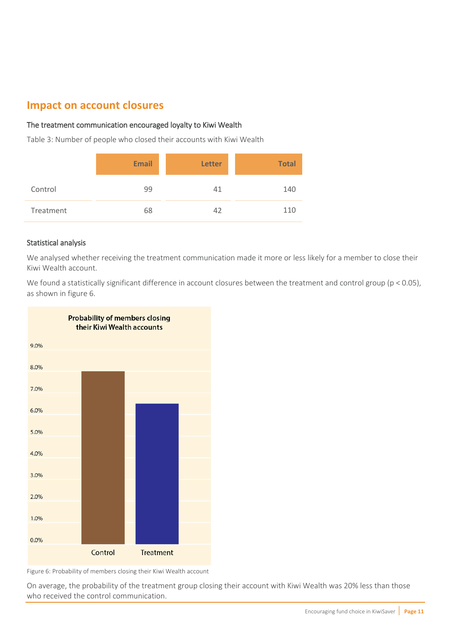## <span id="page-10-0"></span>**Impact on account closures**

### The treatment communication encouraged loyalty to Kiwi Wealth

Table 3: Number of people who closed their accounts with Kiwi Wealth

|           | <b>Email</b> | <b>Letter</b> | <b>Total</b> |
|-----------|--------------|---------------|--------------|
| Control   | 99           | 41            | 140          |
| Treatment | 68           | 42            | 110          |

### Statistical analysis

We analysed whether receiving the treatment communication made it more or less likely for a member to close their Kiwi Wealth account.

We found a statistically significant difference in account closures between the treatment and control group (p < 0.05), as shown in figure 6.



Figure 6: Probability of members closing their Kiwi Wealth account

On average, the probability of the treatment group closing their account with Kiwi Wealth was 20% less than those who received the control communication.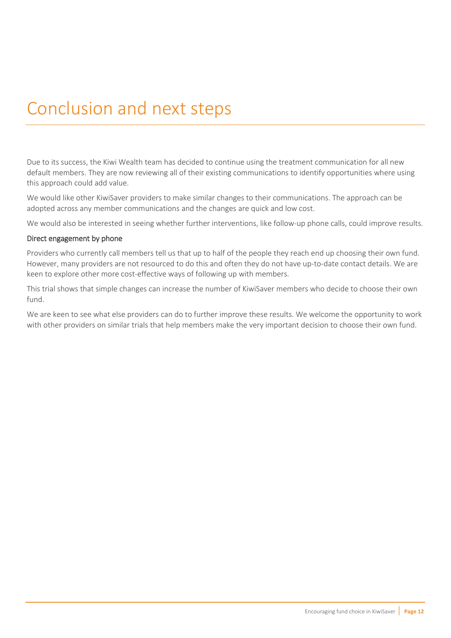# <span id="page-11-0"></span>Conclusion and next steps

Due to its success, the Kiwi Wealth team has decided to continue using the treatment communication for all new default members. They are now reviewing all of their existing communications to identify opportunities where using this approach could add value.

We would like other KiwiSaver providers to make similar changes to their communications. The approach can be adopted across any member communications and the changes are quick and low cost.

We would also be interested in seeing whether further interventions, like follow-up phone calls, could improve results.

#### Direct engagement by phone

Providers who currently call members tell us that up to half of the people they reach end up choosing their own fund. However, many providers are not resourced to do this and often they do not have up-to-date contact details. We are keen to explore other more cost-effective ways of following up with members.

This trial shows that simple changes can increase the number of KiwiSaver members who decide to choose their own fund.

We are keen to see what else providers can do to further improve these results. We welcome the opportunity to work with other providers on similar trials that help members make the very important decision to choose their own fund.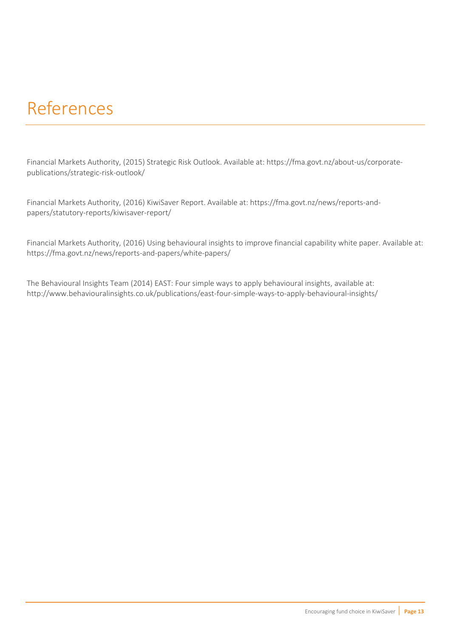## <span id="page-12-0"></span>References

Financial Markets Authority, (2015) Strategic Risk Outlook. Available at: [https://fma.govt.nz/about-us/corporate](https://fma.govt.nz/about-us/corporate-publications/strategic-risk-outlook/)[publications/strategic-risk-outlook/](https://fma.govt.nz/about-us/corporate-publications/strategic-risk-outlook/)

Financial Markets Authority, (2016) KiwiSaver Report. Available at: [https://fma.govt.nz/news/reports-and](https://fma.govt.nz/news/reports-and-papers/statutory-reports/kiwisaver-report/)[papers/statutory-reports/kiwisaver-report/](https://fma.govt.nz/news/reports-and-papers/statutory-reports/kiwisaver-report/)

Financial Markets Authority, (2016) Using behavioural insights to improve financial capability white paper. Available at: <https://fma.govt.nz/news/reports-and-papers/white-papers/>

The Behavioural Insights Team (2014) EAST: Four simple ways to apply behavioural insights, available at: <http://www.behaviouralinsights.co.uk/publications/east-four-simple-ways-to-apply-behavioural-insights/>